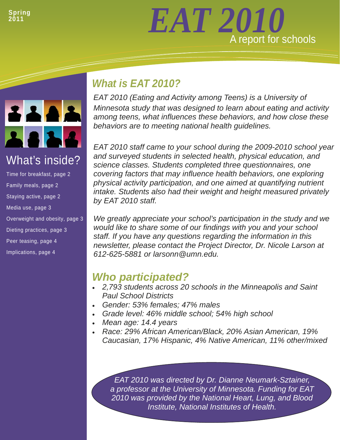# *EAT 2010* A report for schools



## What's inside?

Time for breakfast, page 2 Family meals, page 2 Staying active, page 2 Media use, page 3 Overweight and obesity, page 3 Dieting practices, page 3 Peer teasing, page 4 Implications, page 4

## *What is EAT 2010?*

*EAT 2010 (Eating and Activity among Teens) is a University of Minnesota study that was designed to learn about eating and activity among teens, what influences these behaviors, and how close these behaviors are to meeting national health guidelines.* 

*EAT 2010 staff came to your school during the 2009-2010 school year and surveyed students in selected health, physical education, and science classes. Students completed three questionnaires, one covering factors that may influence health behaviors, one exploring physical activity participation, and one aimed at quantifying nutrient intake. Students also had their weight and height measured privately by EAT 2010 staff.* 

*We greatly appreciate your school's participation in the study and we would like to share some of our findings with you and your school staff. If you have any questions regarding the information in this newsletter, please contact the Project Director, Dr. Nicole Larson at 612-625-5881 or larsonn@umn.edu.* 

## *Who participated?*

- *2,793 students across 20 schools in the Minneapolis and Saint Paul School Districts*
- *Gender: 53% females; 47% males*
- *Grade level: 46% middle school; 54% high school*
- *Mean age: 14.4 years*
- *Race: 29% African American/Black, 20% Asian American, 19% Caucasian, 17% Hispanic, 4% Native American, 11% other/mixed*

*EAT 2010 was directed by Dr. Dianne Neumark-Sztainer, a professor at the University of Minnesota. Funding for EAT 2010 was provided by the National Heart, Lung, and Blood Institute, National Institutes of Health.*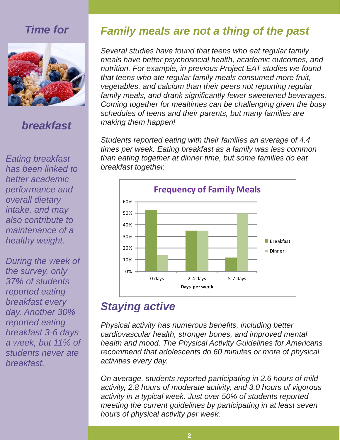## *Time for*



## *breakfast*

*Eating breakfast has been linked to better academic performance and overall dietary intake, and may also contribute to maintenance of a healthy weight.* 

*During the week of the survey, only 37% of students reported eating breakfast every day. Another 30% reported eating breakfast 3-6 days a week, but 11% of students never ate breakfast.* 

## *Family meals are not a thing of the past*

*Several studies have found that teens who eat regular family meals have better psychosocial health, academic outcomes, and nutrition. For example, in previous Project EAT studies we found that teens who ate regular family meals consumed more fruit, vegetables, and calcium than their peers not reporting regular family meals, and drank significantly fewer sweetened beverages. Coming together for mealtimes can be challenging given the busy schedules of teens and their parents, but many families are making them happen!* 

*Students reported eating with their families an average of 4.4 times per week. Eating breakfast as a family was less common than eating together at dinner time, but some families do eat breakfast together.* 



#### *Staying active*

Physical activity has numerous benefits, including better cardiovascular health, stronger bones, and improved mental health and mood. The Physical Activity Guidelines for Americans recommend that adolescents do 60 minutes or more of physical *activities every day.* 

On average, students reported participating in 2.6 hours of mild activity, 2.8 hours of moderate activity, and 3.0 hours of vigorous activity in a typical week. Just over 50% of students reported meeting the current guidelines by participating in at least seven *hours of physical activity per week.* 

**3**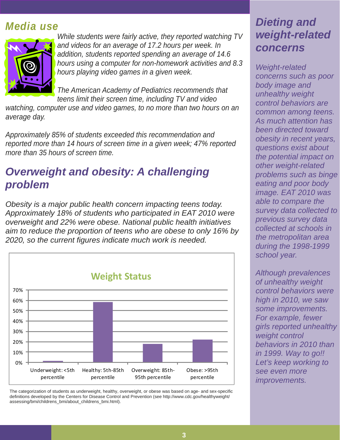## *Media use*



*While students were fairly active, they reported watching TV and videos for an average of 17.2 hours per week. In addition, students reported spending an average of 14.6 hours using a computer for non-homework activities and 8.3 hours playing video games in a given week.* 

*The American Academy of Pediatrics recommends that teens limit their screen time, including TV and video* 

*watching, computer use and video games, to no more than two hours on an average day.* 

*Approximately 85% of students exceeded this recommendation and reported more than 14 hours of screen time in a given week; 47% reported more than 35 hours of screen time.* 

## *Overweight and obesity: A challenging problem*

*Obesity is a major public health concern impacting teens today. Approximately 18% of students who participated in EAT 2010 were overweight and 22% were obese. National public health initiatives aim to reduce the proportion of teens who are obese to only 16% by 2020, so the current figures indicate much work is needed.* 



The categorization of students as underweight, healthy, overweight, or obese was based on age- and sex-specific definitions developed by the Centers for Disease Control and Prevention (see http://www.cdc.gov/healthyweight/ assessing/bmi/childrens\_bmi/about\_childrens\_bmi.html).

## *Dieting and weight-related concerns*

*Weight-related concerns such as poor body image and unhealthy weight control behaviors are common among teens. As much attention has been directed toward obesity in recent years, questions exist about the potential impact on other weight-related problems such as binge eating and poor body image. EAT 2010 was able to compare the survey data collected to previous survey data collected at schools in the metropolitan area during the 1998-1999 school year.* 

*Although prevalences of unhealthy weight control behaviors were high in 2010, we saw some improvements. For example, fewer girls reported unhealthy weight control behaviors in 2010 than in 1999. Way to go!! Let's keep working to see even more improvements.*